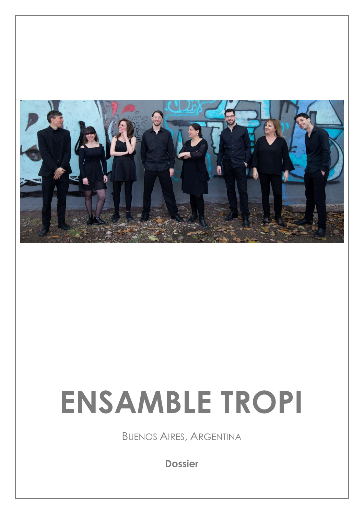

# **ENSAMBLE TROPI**

BUENOS AIRES, ARGENTINA

**Dossier**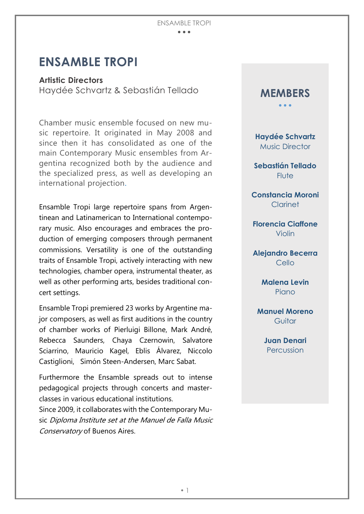#### ENSAMBLE TROPI  $\bullet$   $\bullet$   $\bullet$

## **ENSAMBLE TROPI**

**Artistic Directors** Haydée Schvartz & Sebastián Tellado

Chamber music ensemble focused on new music repertoire. It originated in May 2008 and since then it has consolidated as one of the main Contemporary Music ensembles from Argentina recognized both by the audience and the specialized press, as well as developing an international projection.

Ensamble Tropi large repertoire spans from Argentinean and Latinamerican to International contemporary music. Also encourages and embraces the production of emerging composers through permanent commissions. Versatility is one of the outstanding traits of Ensamble Tropi, actively interacting with new technologies, chamber opera, instrumental theater, as well as other performing arts, besides traditional concert settings.

Ensamble Tropi premiered 23 works by Argentine major composers, as well as first auditions in the country of chamber works of Pierluigi Billone, Mark André, Rebecca Saunders, Chaya Czernowin, Salvatore Sciarrino, Mauricio Kagel, Eblis Álvarez, Niccolo Castiglioni, Simón Steen-Andersen, Marc Sabat.

Furthermore the Ensamble spreads out to intense pedagogical projects through concerts and masterclasses in various educational institutions.

Since 2009, it collaborates with the Contemporary Music Diploma Institute set at the Manuel de Falla Music Conservatory of Buenos Aires.



**Haydée Schvartz** Music Director

**Sebastián Tellado Flute** 

**Constancia Moroni**  Clarinet

**Florencia Ciaffone** Violin

**Alejandro Becerra**  Cello

> **Malena Levin Piano**

**Manuel Moreno**  Guitar

> **Juan Denari**  Percussion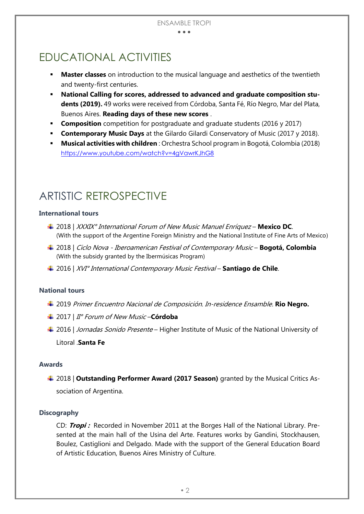#### $\bullet$   $\bullet$   $\bullet$

## EDUCATIONAL ACTIVITIES

- **Master classes** on introduction to the musical language and aesthetics of the twentieth and twenty-first centuries.
- **National Calling for scores, addressed to advanced and graduate composition students (2019).** 49 works were received from Córdoba, Santa Fé, Río Negro, Mar del Plata, Buenos Aires. **Reading days of these new scores** .
- **Composition** competition for postgraduate and graduate students (2016 y 2017)
- **Contemporary Music Days** at the Gilardo Gilardi Conservatory of Music (2017 y 2018).
- **Musical activities with children** : Orchestra School program in Bogotá, Colombia (2018) <https://www.youtube.com/watch?v=4gVawrKJhG8>

## ARTISTIC RETROSPECTIVE

#### **International tours**

- 2018 | XXXIX° International Forum of New Music Manuel Enríquez **Mexico DC**. (With the support of the Argentine Foreign Ministry and the National Institute of Fine Arts of Mexico)
- 2018 | Ciclo Nova Iberoamerican Festival of Contemporary Music **Bogotá, Colombia** (With the subsidy granted by the Ibermúsicas Program)
- 2016 | XVI° International Contemporary Music Festival **Santiago de Chile**.

#### **National tours**

- 2019 Primer Encuentro Nacional de Composición. In-residence Ensamble. **Rio Negro.**
- 2017 | II° Forum of New Music –**Córdoba**
- ↓ 2016 | *Jornadas Sonido Presente* Higher Institute of Music of the National University of Litoral .**Santa Fe**

#### **Awards**

2018 | **Outstanding Performer Award (2017 Season)** granted by the Musical Critics Association of Argentina.

#### **Discography**

CD: **Tropi :** Recorded in November 2011 at the Borges Hall of the National Library. Presented at the main hall of the Usina del Arte. Features works by Gandini, Stockhausen, Boulez, Castiglioni and Delgado. Made with the support of the General Education Board of Artistic Education, Buenos Aires Ministry of Culture.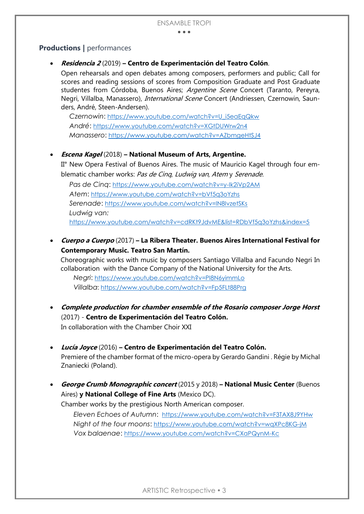$\bullet\bullet\bullet$ 

### **Productions |** performances

#### **Residencia 2** (2019) **– Centro de Experimentación del Teatro Colón**.

Open rehearsals and open debates among composers, performers and public; Call for scores and reading sessions of scores from Composition Graduate and Post Graduate studentes from Córdoba, Buenos Aires; Argentine Scene Concert (Taranto, Pereyra, Negri, Villalba, Manassero), *International Scene* Concert (Andriessen, Czernowin, Saunders, André, Steen-Andersen).

*Czernowin*: [https://www.youtube.com/watch?v=U\\_i5eaEqQkw](https://www.youtube.com/watch?v=U_i5eaEqQkw) *André*: <https://www.youtube.com/watch?v=XGtDUWrw2n4> *Manassero*: <https://www.youtube.com/watch?v=AZbmgeHtSJ4>

#### **Escena Kagel** (2018) **– National Museum of Arts, Argentine.**

II° New Opera Festival of Buenos Aires. The music of Mauricio Kagel through four emblematic chamber works: Pas de Cinq, Ludwig van, Atem y Serenade.

*Pas de Cinq*: <https://www.youtube.com/watch?v=y-Ik2iVp2AM> *Atem*: <https://www.youtube.com/watch?v=bVf5q3oYzhs> *Serenade*: <https://www.youtube.com/watch?v=lN8IvzetSKs> *Ludwig van:* <https://www.youtube.com/watch?v=cdRKt9JdvME&list=RDbVf5q3oYzhs&index=5>

 **Cuerpo a Cuerpo** (2017) **– La Ribera Theater. Buenos Aires International Festival for Contemporary Music. Teatro San Martín.**

Choreographic works with music by composers Santiago Villalba and Facundo Negri In collaboration with the Dance Company of the National University for the Arts.

*Negri*: <https://www.youtube.com/watch?v=PI8N6yimmLo> *Villalba*: <https://www.youtube.com/watch?v=Fp5FLt88Prg>

- **Complete production for chamber ensemble of the Rosario composer Jorge Horst** (2017) - **Centro de Experimentación del Teatro Colón.** In collaboration with the Chamber Choir XXI
- **Lucía Joyce** (2016) **– Centro de Experimentación del Teatro Colón.** Premiere of the chamber format of the micro-opera by Gerardo Gandini . Régie by Michal Znaniecki (Poland).
- **George Crumb Monographic concert** (2015 y 2018) **– National Music Center** (Buenos Aires) **y National College of Fine Arts** (Mexico DC).

Chamber works by the prestigious North American composer.

*Eleven Echoes of Autumn*: <https://www.youtube.com/watch?v=F3TAX8J9YHw> *Night of the four moons*: <https://www.youtube.com/watch?v=wqXPc8KG-jM> *Vox balaenae*: <https://www.youtube.com/watch?v=CXaPQynM-Kc>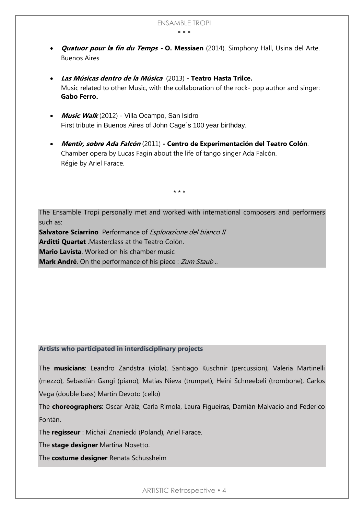- **Quatuor pour la fin du Temps - O. Messiaen** (2014). Simphony Hall, Usina del Arte. Buenos Aires
- **Las Músicas dentro de la Música** (2013) **- Teatro Hasta Trilce.** Music related to other Music, with the collaboration of the rock- pop author and singer: **Gabo Ferro.**
- **Music Walk** (2012) Villa Ocampo, San Isidro First tribute in Buenos Aires of John Cage´s 100 year birthday.
- **Mentir, sobre Ada Falcón** (2011) **- Centro de Experimentación del Teatro Colón**. Chamber opera by Lucas Fagin about the life of tango singer Ada Falcón. Régie by Ariel Farace.

\* \* \*

The Ensamble Tropi personally met and worked with international composers and performers such as:

**Salvatore Sciarrino** Performance of *Esplorazione del bianco II* **Arditti Quartet** .Masterclass at the Teatro Colón. **Mario Lavista**. Worked on his chamber music **Mark André**. On the performance of his piece : Zum Staub...

#### **Artists who participated in interdisciplinary projects**

The **musicians**: Leandro Zandstra (viola), Santiago Kuschnir (percussion), Valeria Martinelli (mezzo), Sebastián Gangi (piano), Matías Nieva (trumpet), Heini Schneebeli (trombone), Carlos Vega (double bass) Martín Devoto (cello)

The **choreographers**: Oscar Aráiz, Carla Rímola, Laura Figueiras, Damián Malvacio and Federico Fontán.

The **regisseur** : Michail Znaniecki (Poland), Ariel Farace.

The **stage designer** Martina Nosetto.

The **costume designer** Renata Schussheim

ARTISTIC Retrospective • 4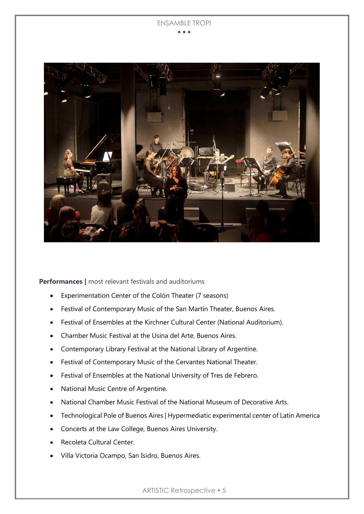#### ENSAMBLE TROPI  $\bullet$   $\bullet$   $\bullet$



**Performances |** most relevant festivals and auditoriums

- Experimentation Center of the Colón Theater (7 seasons)
- Festival of Contemporary Music of the San Martín Theater, Buenos Aires.
- Festival of Ensembles at the Kirchner Cultural Center (National Auditorium).
- Chamber Music Festival at the Usina del Arte, Buenos Aires.
- Contemporary Library Festival at the National Library of Argentine.
- Festival of Contemporary Music of the Cervantes National Theater.
- Festival of Ensembles at the National University of Tres de Febrero.
- National Music Centre of Argentine.
- National Chamber Music Festival of the National Museum of Decorative Arts.
- Technological Pole of Buenos Aires | Hypermediatic experimental center of Latin America
- Concerts at the Law College, Buenos Aires University.
- Recoleta Cultural Center.
- Villa Victoria Ocampo, San Isidro, Buenos Aires.

ARTISTIC Retrospective • 5